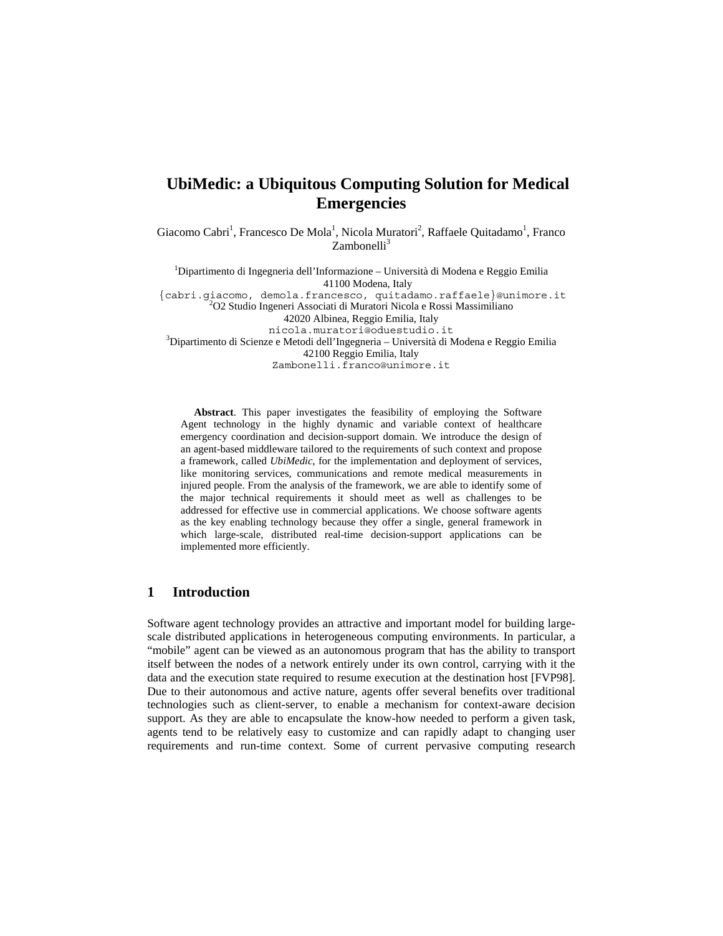# **UbiMedic: a Ubiquitous Computing Solution for Medical Emergencies**

Giacomo Cabri<sup>1</sup>, Francesco De Mola<sup>1</sup>, Nicola Muratori<sup>2</sup>, Raffaele Quitadamo<sup>1</sup>, Franco  $Zambonelli<sup>3</sup>$ 

<sup>1</sup>Dipartimento di Ingegneria dell'Informazione – Università di Modena e Reggio Emilia 41100 Modena, Italy {cabri.giacomo, demola.francesco, quitadamo.raffaele}@unimore.it <sup>2</sup> O2 Studio Ingeneri Associati di Muratori Nicola e Rossi Massimiliano 42020 Albinea, Reggio Emilia, Italy nicola.muratori@oduestudio.it <sup>3</sup>  $\rm^3$ Dipartimento di Scienze e Metodi dell'Ingegneria – Università di Modena e Reggio Emilia 42100 Reggio Emilia, Italy Zambonelli.franco@unimore.it

**Abstract**. This paper investigates the feasibility of employing the Software Agent technology in the highly dynamic and variable context of healthcare emergency coordination and decision-support domain. We introduce the design of an agent-based middleware tailored to the requirements of such context and propose a framework, called *UbiMedic*, for the implementation and deployment of services, like monitoring services, communications and remote medical measurements in injured people. From the analysis of the framework, we are able to identify some of the major technical requirements it should meet as well as challenges to be addressed for effective use in commercial applications. We choose software agents as the key enabling technology because they offer a single, general framework in which large-scale, distributed real-time decision-support applications can be implemented more efficiently.

# **1 Introduction**

Software agent technology provides an attractive and important model for building largescale distributed applications in heterogeneous computing environments. In particular, a "mobile" agent can be viewed as an autonomous program that has the ability to transport itself between the nodes of a network entirely under its own control, carrying with it the data and the execution state required to resume execution at the destination host [FVP98]. Due to their autonomous and active nature, agents offer several benefits over traditional technologies such as client-server, to enable a mechanism for context-aware decision support. As they are able to encapsulate the know-how needed to perform a given task, agents tend to be relatively easy to customize and can rapidly adapt to changing user requirements and run-time context. Some of current pervasive computing research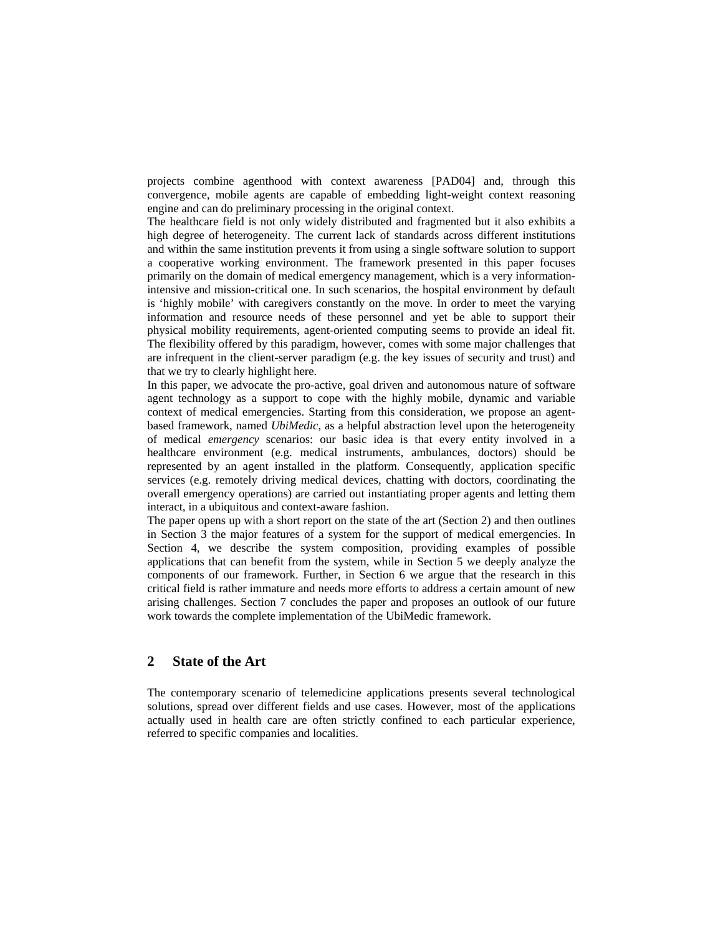projects combine agenthood with context awareness [PAD04] and, through this convergence, mobile agents are capable of embedding light-weight context reasoning engine and can do preliminary processing in the original context.

The healthcare field is not only widely distributed and fragmented but it also exhibits a high degree of heterogeneity. The current lack of standards across different institutions and within the same institution prevents it from using a single software solution to support a cooperative working environment. The framework presented in this paper focuses primarily on the domain of medical emergency management, which is a very informationintensive and mission-critical one. In such scenarios, the hospital environment by default is 'highly mobile' with caregivers constantly on the move. In order to meet the varying information and resource needs of these personnel and yet be able to support their physical mobility requirements, agent-oriented computing seems to provide an ideal fit. The flexibility offered by this paradigm, however, comes with some major challenges that are infrequent in the client-server paradigm (e.g. the key issues of security and trust) and that we try to clearly highlight here.

In this paper, we advocate the pro-active, goal driven and autonomous nature of software agent technology as a support to cope with the highly mobile, dynamic and variable context of medical emergencies. Starting from this consideration, we propose an agentbased framework, named *UbiMedic*, as a helpful abstraction level upon the heterogeneity of medical *emergency* scenarios: our basic idea is that every entity involved in a healthcare environment (e.g. medical instruments, ambulances, doctors) should be represented by an agent installed in the platform. Consequently, application specific services (e.g. remotely driving medical devices, chatting with doctors, coordinating the overall emergency operations) are carried out instantiating proper agents and letting them interact, in a ubiquitous and context-aware fashion.

The paper opens up with a short report on the state of the art (Section 2) and then outlines in Section 3 the major features of a system for the support of medical emergencies. In Section 4, we describe the system composition, providing examples of possible applications that can benefit from the system, while in Section 5 we deeply analyze the components of our framework. Further, in Section 6 we argue that the research in this critical field is rather immature and needs more efforts to address a certain amount of new arising challenges. Section 7 concludes the paper and proposes an outlook of our future work towards the complete implementation of the UbiMedic framework.

# **2 State of the Art**

The contemporary scenario of telemedicine applications presents several technological solutions, spread over different fields and use cases. However, most of the applications actually used in health care are often strictly confined to each particular experience, referred to specific companies and localities.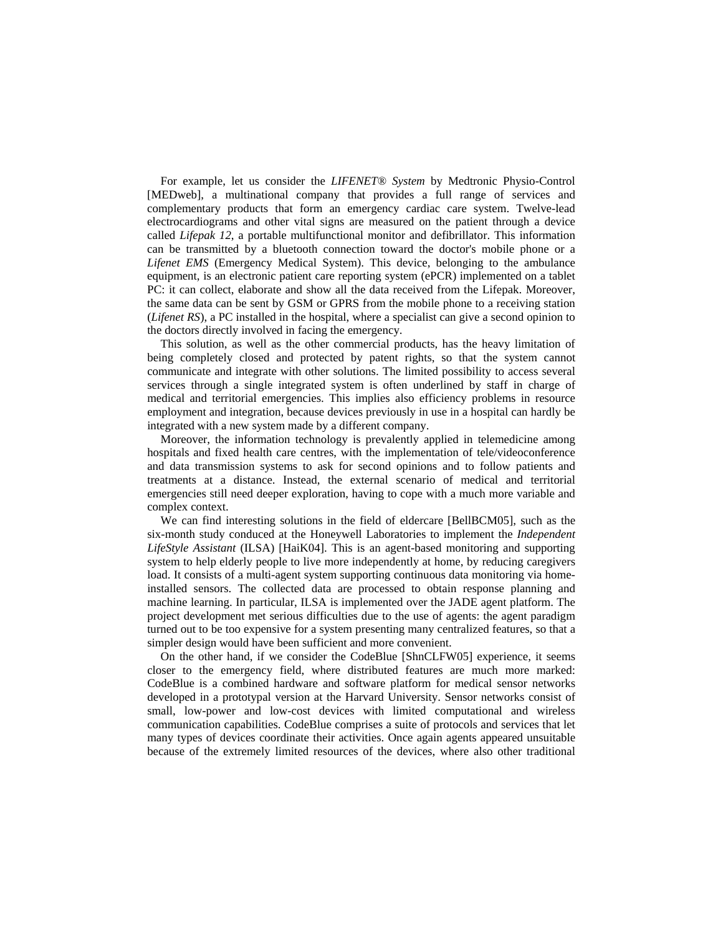For example, let us consider the *LIFENET® System* by Medtronic Physio-Control [MEDweb], a multinational company that provides a full range of services and complementary products that form an emergency cardiac care system. Twelve-lead electrocardiograms and other vital signs are measured on the patient through a device called *Lifepak 12*, a portable multifunctional monitor and defibrillator. This information can be transmitted by a bluetooth connection toward the doctor's mobile phone or a *Lifenet EMS* (Emergency Medical System). This device, belonging to the ambulance equipment, is an electronic patient care reporting system (ePCR) implemented on a tablet PC: it can collect, elaborate and show all the data received from the Lifepak. Moreover, the same data can be sent by GSM or GPRS from the mobile phone to a receiving station (*Lifenet RS*), a PC installed in the hospital, where a specialist can give a second opinion to the doctors directly involved in facing the emergency.

This solution, as well as the other commercial products, has the heavy limitation of being completely closed and protected by patent rights, so that the system cannot communicate and integrate with other solutions. The limited possibility to access several services through a single integrated system is often underlined by staff in charge of medical and territorial emergencies. This implies also efficiency problems in resource employment and integration, because devices previously in use in a hospital can hardly be integrated with a new system made by a different company.

Moreover, the information technology is prevalently applied in telemedicine among hospitals and fixed health care centres, with the implementation of tele/videoconference and data transmission systems to ask for second opinions and to follow patients and treatments at a distance. Instead, the external scenario of medical and territorial emergencies still need deeper exploration, having to cope with a much more variable and complex context.

We can find interesting solutions in the field of eldercare [BellBCM05], such as the six-month study conduced at the Honeywell Laboratories to implement the *Independent LifeStyle Assistant* (ILSA) [HaiK04]. This is an agent-based monitoring and supporting system to help elderly people to live more independently at home, by reducing caregivers load. It consists of a multi-agent system supporting continuous data monitoring via homeinstalled sensors. The collected data are processed to obtain response planning and machine learning. In particular, ILSA is implemented over the JADE agent platform. The project development met serious difficulties due to the use of agents: the agent paradigm turned out to be too expensive for a system presenting many centralized features, so that a simpler design would have been sufficient and more convenient.

On the other hand, if we consider the CodeBlue [ShnCLFW05] experience, it seems closer to the emergency field, where distributed features are much more marked: CodeBlue is a combined hardware and software platform for medical sensor networks developed in a prototypal version at the Harvard University. Sensor networks consist of small, low-power and low-cost devices with limited computational and wireless communication capabilities. CodeBlue comprises a suite of protocols and services that let many types of devices coordinate their activities. Once again agents appeared unsuitable because of the extremely limited resources of the devices, where also other traditional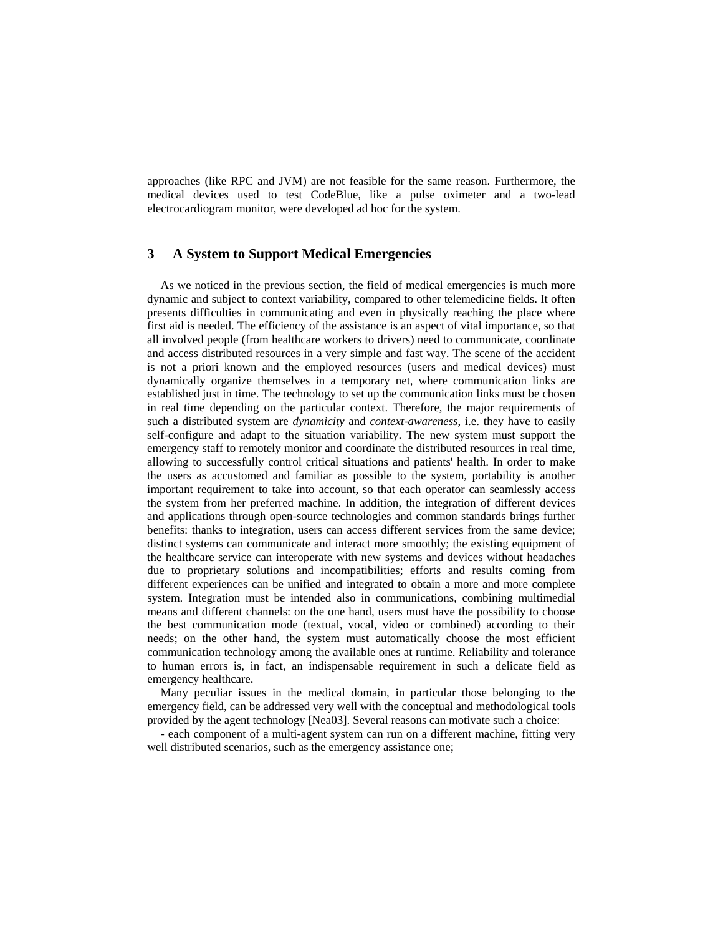approaches (like RPC and JVM) are not feasible for the same reason. Furthermore, the medical devices used to test CodeBlue, like a pulse oximeter and a two-lead electrocardiogram monitor, were developed ad hoc for the system.

# **3 A System to Support Medical Emergencies**

As we noticed in the previous section, the field of medical emergencies is much more dynamic and subject to context variability, compared to other telemedicine fields. It often presents difficulties in communicating and even in physically reaching the place where first aid is needed. The efficiency of the assistance is an aspect of vital importance, so that all involved people (from healthcare workers to drivers) need to communicate, coordinate and access distributed resources in a very simple and fast way. The scene of the accident is not a priori known and the employed resources (users and medical devices) must dynamically organize themselves in a temporary net, where communication links are established just in time. The technology to set up the communication links must be chosen in real time depending on the particular context. Therefore, the major requirements of such a distributed system are *dynamicity* and *context-awareness*, i.e. they have to easily self-configure and adapt to the situation variability. The new system must support the emergency staff to remotely monitor and coordinate the distributed resources in real time, allowing to successfully control critical situations and patients' health. In order to make the users as accustomed and familiar as possible to the system, portability is another important requirement to take into account, so that each operator can seamlessly access the system from her preferred machine. In addition, the integration of different devices and applications through open-source technologies and common standards brings further benefits: thanks to integration, users can access different services from the same device; distinct systems can communicate and interact more smoothly; the existing equipment of the healthcare service can interoperate with new systems and devices without headaches due to proprietary solutions and incompatibilities; efforts and results coming from different experiences can be unified and integrated to obtain a more and more complete system. Integration must be intended also in communications, combining multimedial means and different channels: on the one hand, users must have the possibility to choose the best communication mode (textual, vocal, video or combined) according to their needs; on the other hand, the system must automatically choose the most efficient communication technology among the available ones at runtime. Reliability and tolerance to human errors is, in fact, an indispensable requirement in such a delicate field as emergency healthcare.

Many peculiar issues in the medical domain, in particular those belonging to the emergency field, can be addressed very well with the conceptual and methodological tools provided by the agent technology [Nea03]. Several reasons can motivate such a choice:

- each component of a multi-agent system can run on a different machine, fitting very well distributed scenarios, such as the emergency assistance one;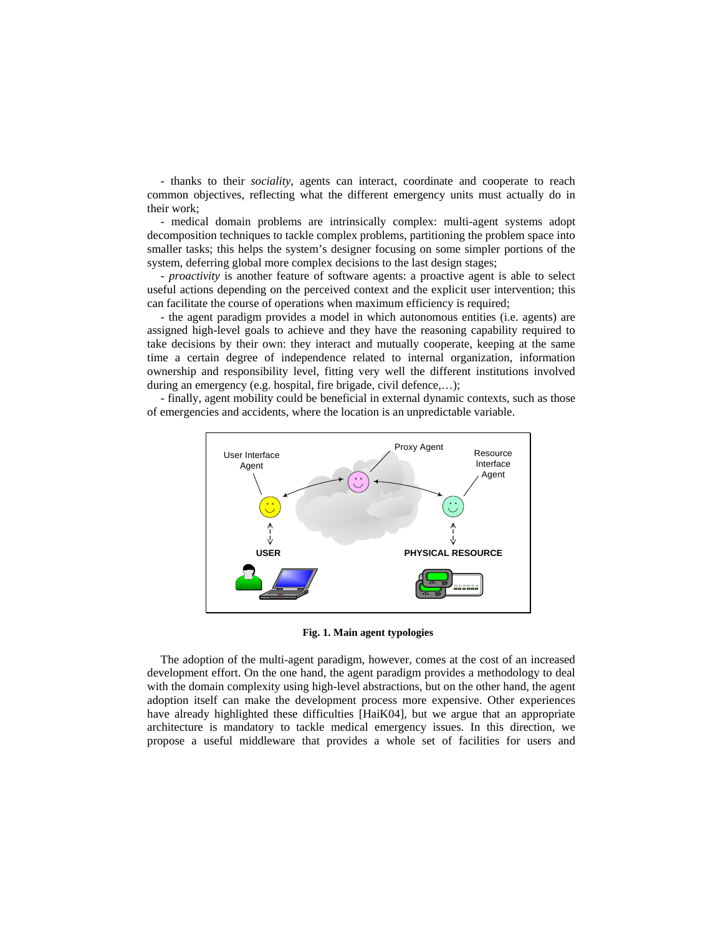<span id="page-4-0"></span>- thanks to their *sociality*, agents can interact, coordinate and cooperate to reach common objectives, reflecting what the different emergency units must actually do in their work;

- medical domain problems are intrinsically complex: multi-agent systems adopt decomposition techniques to tackle complex problems, partitioning the problem space into smaller tasks; this helps the system's designer focusing on some simpler portions of the system, deferring global more complex decisions to the last design stages;

- *proactivity* is another feature of software agents: a proactive agent is able to select useful actions depending on the perceived context and the explicit user intervention; this can facilitate the course of operations when maximum efficiency is required;

- the agent paradigm provides a model in which autonomous entities (i.e. agents) are assigned high-level goals to achieve and they have the reasoning capability required to take decisions by their own: they interact and mutually cooperate, keeping at the same time a certain degree of independence related to internal organization, information ownership and responsibility level, fitting very well the different institutions involved during an emergency (e.g. hospital, fire brigade, civil defence,...);

- finally, agent mobility could be beneficial in external dynamic contexts, such as those of emergencies and accidents, where the location is an unpredictable variable.



**Fig. 1. Main agent typologies** 

The adoption of the multi-agent paradigm, however, comes at the cost of an increased development effort. On the one hand, the agent paradigm provides a methodology to deal with the domain complexity using high-level abstractions, but on the other hand, the agent adoption itself can make the development process more expensive. Other experiences have already highlighted these difficulties [HaiK04], but we argue that an appropriate architecture is mandatory to tackle medical emergency issues. In this direction, we propose a useful middleware that provides a whole set of facilities for users and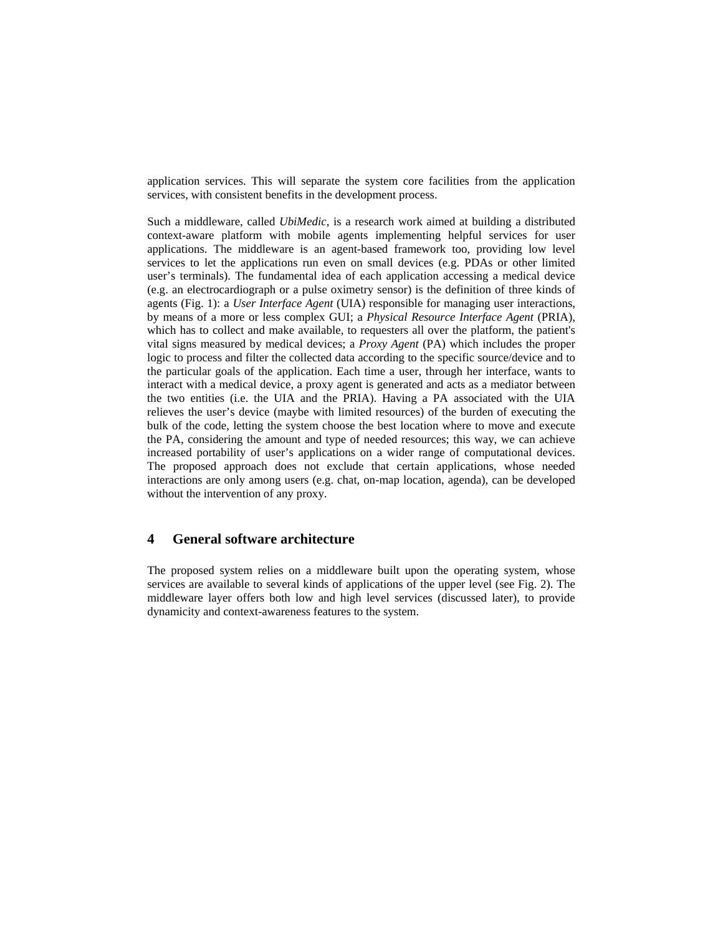application services. This will separate the system core facilities from the application services, with consistent benefits in the development process.

Such a middleware, called *UbiMedic*, is a research work aimed at building a distributed context-aware platform with mobile agents implementing helpful services for user applications. The middleware is an agent-based framework too, providing low level services to let the applications run even on small devices (e.g. PDAs or other limited user's terminals). The fundamental idea of each application accessing a medical device (e.g. an electrocardiograph or a pulse oximetry sensor) is the definition of three kinds of agents ([Fig. 1\)](#page-4-0): a *User Interface Agent* (UIA) responsible for managing user interactions, by means of a more or less complex GUI; a *Physical Resource Interface Agent* (PRIA), which has to collect and make available, to requesters all over the platform, the patient's vital signs measured by medical devices; a *Proxy Agent* (PA) which includes the proper logic to process and filter the collected data according to the specific source/device and to the particular goals of the application. Each time a user, through her interface, wants to interact with a medical device, a proxy agent is generated and acts as a mediator between the two entities (i.e. the UIA and the PRIA). Having a PA associated with the UIA relieves the user's device (maybe with limited resources) of the burden of executing the bulk of the code, letting the system choose the best location where to move and execute the PA, considering the amount and type of needed resources; this way, we can achieve increased portability of user's applications on a wider range of computational devices. The proposed approach does not exclude that certain applications, whose needed interactions are only among users (e.g. chat, on-map location, agenda), can be developed without the intervention of any proxy.

# **4 General software architecture**

The proposed system relies on a middleware built upon the operating system, whose services are available to several kinds of applications of the upper level (see [Fig. 2\)](#page-6-0). The middleware layer offers both low and high level services (discussed later), to provide dynamicity and context-awareness features to the system.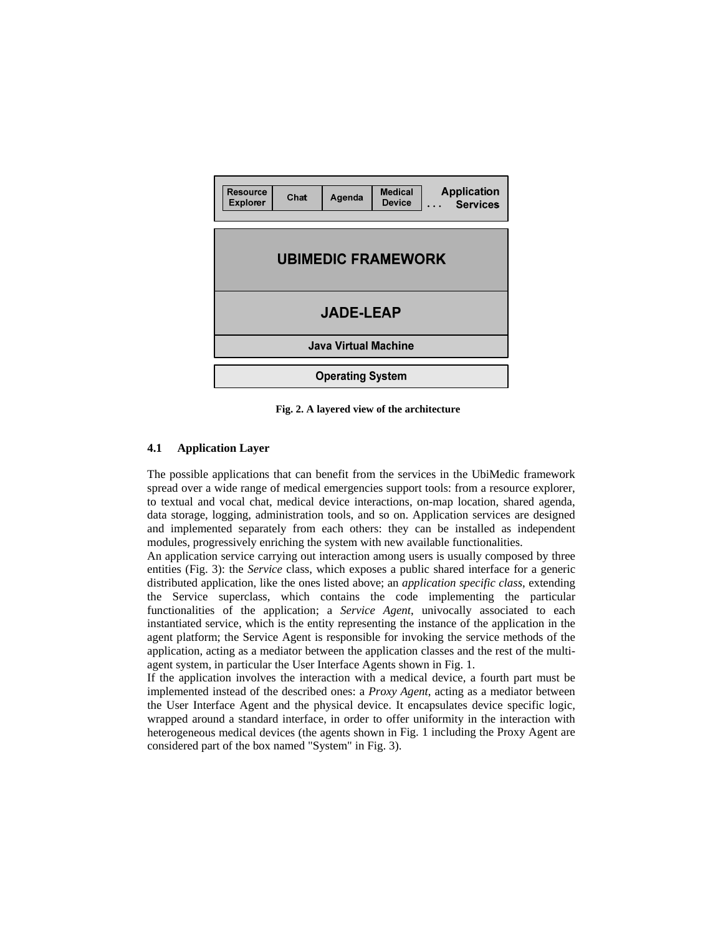<span id="page-6-0"></span>

| Resource<br><b>Explorer</b> | Chat | Agenda | Medical<br><b>Device</b> | <b>Application</b><br><b>Services</b><br>. |
|-----------------------------|------|--------|--------------------------|--------------------------------------------|
| <b>UBIMEDIC FRAMEWORK</b>   |      |        |                          |                                            |
| <b>JADE-LEAP</b>            |      |        |                          |                                            |
| Java Virtual Machine        |      |        |                          |                                            |
| <b>Operating System</b>     |      |        |                          |                                            |

**Fig. 2. A layered view of the architecture** 

#### **4.1 Application Layer**

The possible applications that can benefit from the services in the UbiMedic framework spread over a wide range of medical emergencies support tools: from a resource explorer, to textual and vocal chat, medical device interactions, on-map location, shared agenda, data storage, logging, administration tools, and so on. Application services are designed and implemented separately from each others: they can be installed as independent modules, progressively enriching the system with new available functionalities.

An application service carrying out interaction among users is usually composed by three entities [\(Fig. 3\)](#page-7-0): the *Service* class, which exposes a public shared interface for a generic distributed application, like the ones listed above; an *application specific class*, extending the Service superclass, which contains the code implementing the particular functionalities of the application; a *Service Agent*, univocally associated to each instantiated service, which is the entity representing the instance of the application in the agent platform; the Service Agent is responsible for invoking the service methods of the application, acting as a mediator between the application classes and the rest of the multiagent system, in particular the User Interface Agents shown in [Fig. 1](#page-4-0).

If the application involves the interaction with a medical device, a fourth part must be implemented instead of the described ones: a *Proxy Agent*, acting as a mediator between the User Interface Agent and the physical device. It encapsulates device specific logic, wrapped around a standard interface, in order to offer uniformity in the interaction with heterogeneous medical devices (the agents shown in [Fig. 1](#page-4-0) including the Proxy Agent are considered part of the box named "System" in [Fig. 3\)](#page-7-0).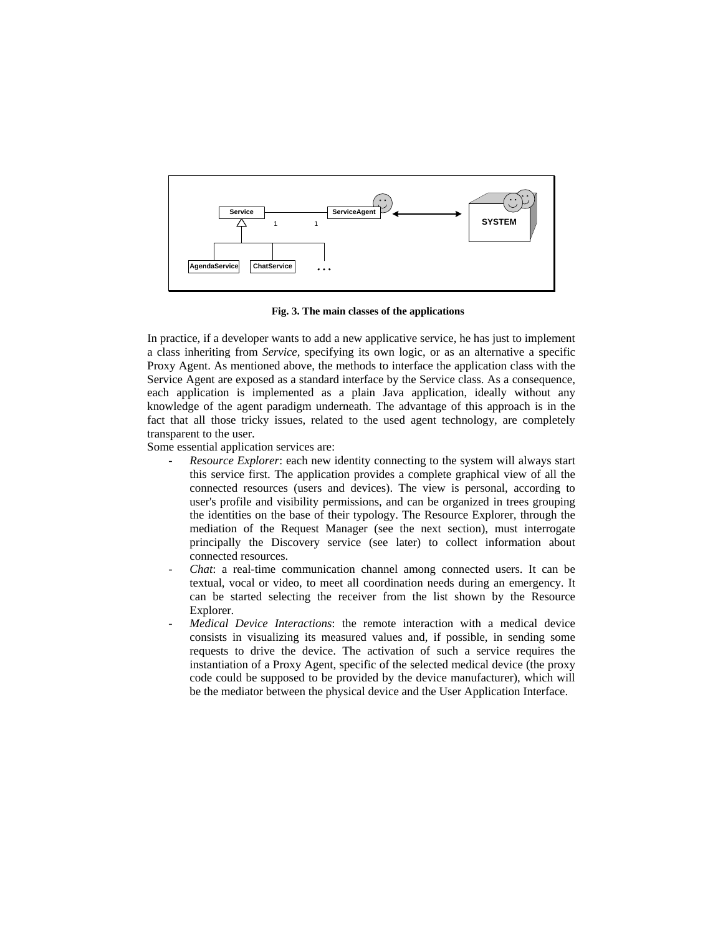<span id="page-7-0"></span>

**Fig. 3. The main classes of the applications** 

In practice, if a developer wants to add a new applicative service, he has just to implement a class inheriting from *Service*, specifying its own logic, or as an alternative a specific Proxy Agent. As mentioned above, the methods to interface the application class with the Service Agent are exposed as a standard interface by the Service class. As a consequence, each application is implemented as a plain Java application, ideally without any knowledge of the agent paradigm underneath. The advantage of this approach is in the fact that all those tricky issues, related to the used agent technology, are completely transparent to the user.

Some essential application services are:

- *Resource Explorer*: each new identity connecting to the system will always start this service first. The application provides a complete graphical view of all the connected resources (users and devices). The view is personal, according to user's profile and visibility permissions, and can be organized in trees grouping the identities on the base of their typology. The Resource Explorer, through the mediation of the Request Manager (see the next section), must interrogate principally the Discovery service (see later) to collect information about connected resources.
- *Chat*: a real-time communication channel among connected users. It can be textual, vocal or video, to meet all coordination needs during an emergency. It can be started selecting the receiver from the list shown by the Resource Explorer.
- *Medical Device Interactions*: the remote interaction with a medical device consists in visualizing its measured values and, if possible, in sending some requests to drive the device. The activation of such a service requires the instantiation of a Proxy Agent, specific of the selected medical device (the proxy code could be supposed to be provided by the device manufacturer), which will be the mediator between the physical device and the User Application Interface.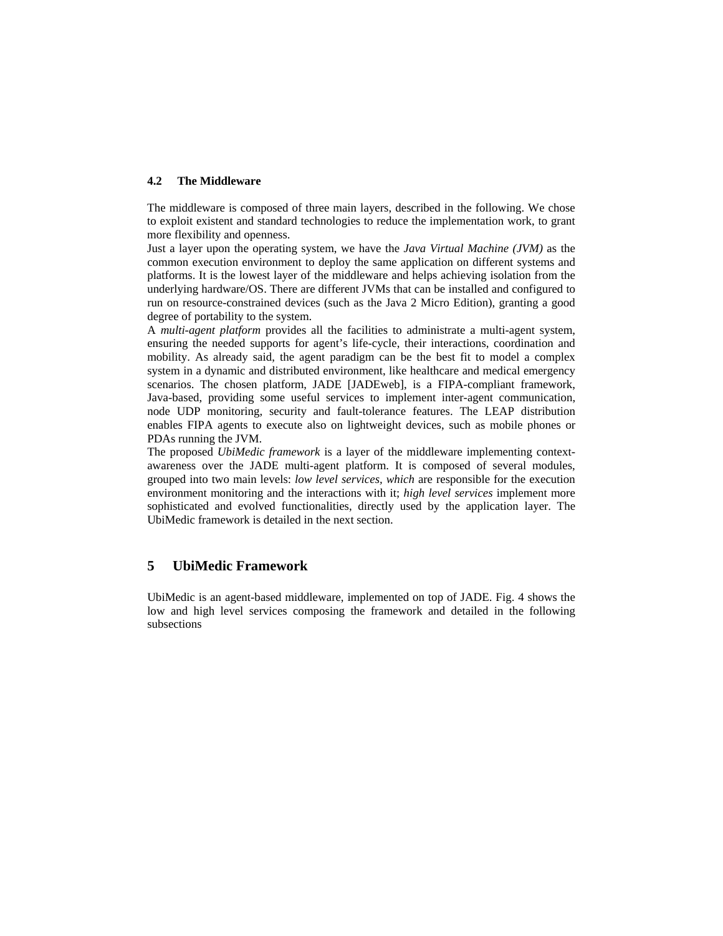#### **4.2 The Middleware**

The middleware is composed of three main layers, described in the following. We chose to exploit existent and standard technologies to reduce the implementation work, to grant more flexibility and openness.

Just a layer upon the operating system, we have the *Java Virtual Machine (JVM)* as the common execution environment to deploy the same application on different systems and platforms. It is the lowest layer of the middleware and helps achieving isolation from the underlying hardware/OS. There are different JVMs that can be installed and configured to run on resource-constrained devices (such as the Java 2 Micro Edition), granting a good degree of portability to the system.

A *multi-agent platform* provides all the facilities to administrate a multi-agent system, ensuring the needed supports for agent's life-cycle, their interactions, coordination and mobility. As already said, the agent paradigm can be the best fit to model a complex system in a dynamic and distributed environment, like healthcare and medical emergency scenarios. The chosen platform, JADE [JADEweb], is a FIPA-compliant framework, Java-based, providing some useful services to implement inter-agent communication, node UDP monitoring, security and fault-tolerance features. The LEAP distribution enables FIPA agents to execute also on lightweight devices, such as mobile phones or PDAs running the JVM.

The proposed *UbiMedic framework* is a layer of the middleware implementing contextawareness over the JADE multi-agent platform. It is composed of several modules, grouped into two main levels: *low level services, which* are responsible for the execution environment monitoring and the interactions with it; *high level services* implement more sophisticated and evolved functionalities, directly used by the application layer. The UbiMedic framework is detailed in the next section.

# **5 UbiMedic Framework**

UbiMedic is an agent-based middleware, implemented on top of JADE. [Fig. 4](#page-9-0) shows the low and high level services composing the framework and detailed in the following subsections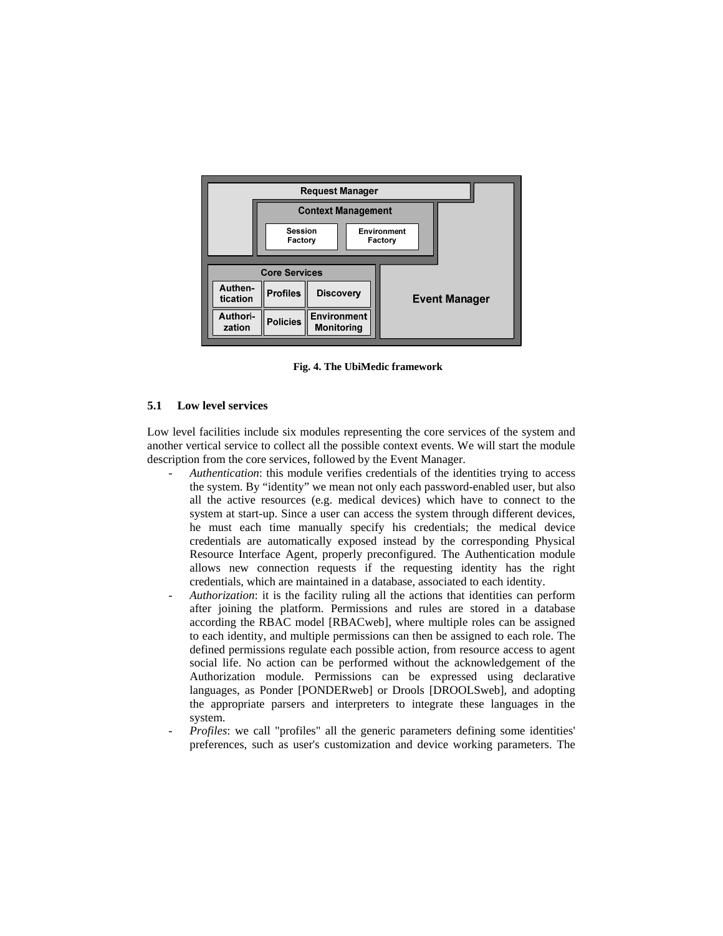<span id="page-9-0"></span>

**Fig. 4. The UbiMedic framework** 

#### **5.1 Low level services**

Low level facilities include six modules representing the core services of the system and another vertical service to collect all the possible context events. We will start the module description from the core services, followed by the Event Manager.

- Authentication: this module verifies credentials of the identities trying to access the system. By "identity" we mean not only each password-enabled user, but also all the active resources (e.g. medical devices) which have to connect to the system at start-up. Since a user can access the system through different devices, he must each time manually specify his credentials; the medical device credentials are automatically exposed instead by the corresponding Physical Resource Interface Agent, properly preconfigured. The Authentication module allows new connection requests if the requesting identity has the right credentials, which are maintained in a database, associated to each identity.
- *Authorization*: it is the facility ruling all the actions that identities can perform after joining the platform. Permissions and rules are stored in a database according the RBAC model [RBACweb], where multiple roles can be assigned to each identity, and multiple permissions can then be assigned to each role. The defined permissions regulate each possible action, from resource access to agent social life. No action can be performed without the acknowledgement of the Authorization module. Permissions can be expressed using declarative languages, as Ponder [PONDERweb] or Drools [DROOLSweb], and adopting the appropriate parsers and interpreters to integrate these languages in the system.
- *Profiles*: we call "profiles" all the generic parameters defining some identities' preferences, such as user's customization and device working parameters. The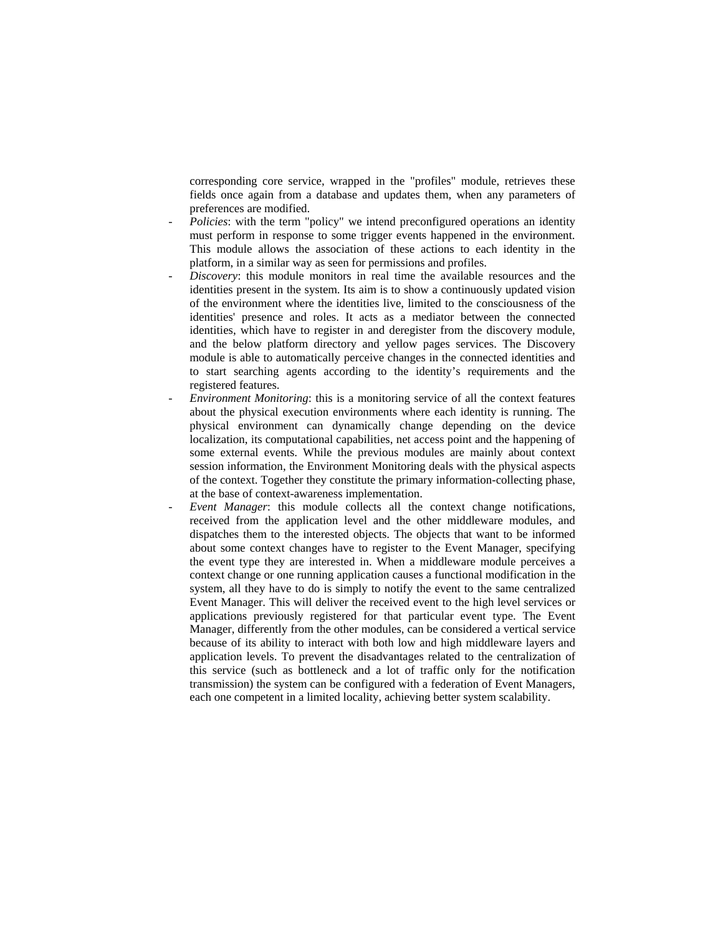corresponding core service, wrapped in the "profiles" module, retrieves these fields once again from a database and updates them, when any parameters of preferences are modified.

- *Policies*: with the term "policy" we intend preconfigured operations an identity must perform in response to some trigger events happened in the environment. This module allows the association of these actions to each identity in the platform, in a similar way as seen for permissions and profiles.
- Discovery: this module monitors in real time the available resources and the identities present in the system. Its aim is to show a continuously updated vision of the environment where the identities live, limited to the consciousness of the identities' presence and roles. It acts as a mediator between the connected identities, which have to register in and deregister from the discovery module, and the below platform directory and yellow pages services. The Discovery module is able to automatically perceive changes in the connected identities and to start searching agents according to the identity's requirements and the registered features.
- *Environment Monitoring*: this is a monitoring service of all the context features about the physical execution environments where each identity is running. The physical environment can dynamically change depending on the device localization, its computational capabilities, net access point and the happening of some external events. While the previous modules are mainly about context session information, the Environment Monitoring deals with the physical aspects of the context. Together they constitute the primary information-collecting phase, at the base of context-awareness implementation.
- *Event Manager*: this module collects all the context change notifications, received from the application level and the other middleware modules, and dispatches them to the interested objects. The objects that want to be informed about some context changes have to register to the Event Manager, specifying the event type they are interested in. When a middleware module perceives a context change or one running application causes a functional modification in the system, all they have to do is simply to notify the event to the same centralized Event Manager. This will deliver the received event to the high level services or applications previously registered for that particular event type. The Event Manager, differently from the other modules, can be considered a vertical service because of its ability to interact with both low and high middleware layers and application levels. To prevent the disadvantages related to the centralization of this service (such as bottleneck and a lot of traffic only for the notification transmission) the system can be configured with a federation of Event Managers, each one competent in a limited locality, achieving better system scalability.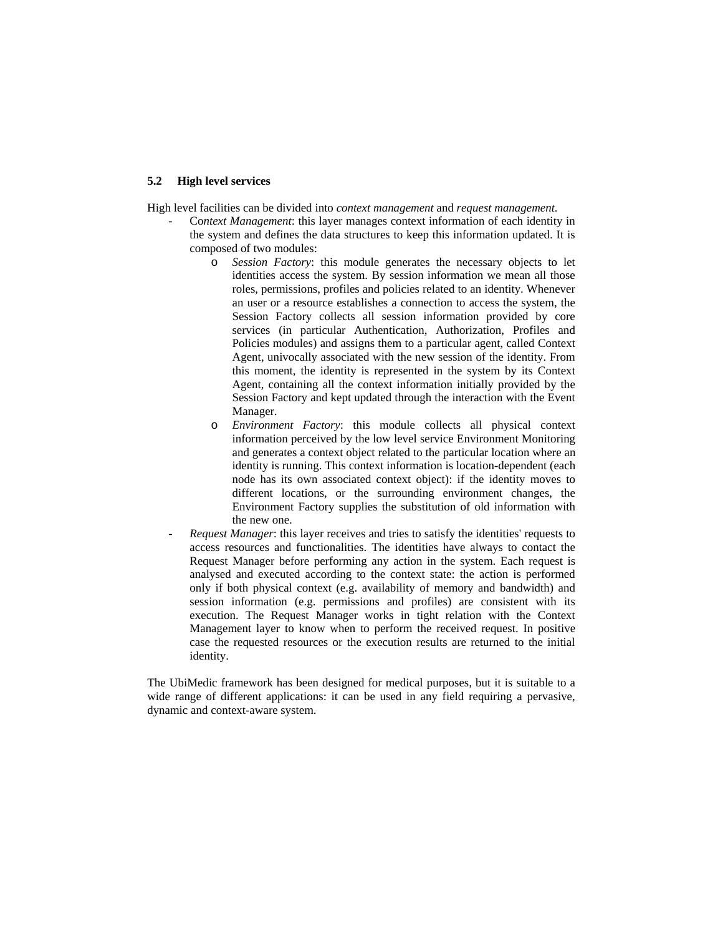#### **5.2 High level services**

High level facilities can be divided into *context management* and *request management*.

- Co*ntext Management*: this layer manages context information of each identity in the system and defines the data structures to keep this information updated. It is composed of two modules:
	- o *Session Factory*: this module generates the necessary objects to let identities access the system. By session information we mean all those roles, permissions, profiles and policies related to an identity. Whenever an user or a resource establishes a connection to access the system, the Session Factory collects all session information provided by core services (in particular Authentication, Authorization, Profiles and Policies modules) and assigns them to a particular agent, called Context Agent, univocally associated with the new session of the identity. From this moment, the identity is represented in the system by its Context Agent, containing all the context information initially provided by the Session Factory and kept updated through the interaction with the Event Manager.
	- o *Environment Factory*: this module collects all physical context information perceived by the low level service Environment Monitoring and generates a context object related to the particular location where an identity is running. This context information is location-dependent (each node has its own associated context object): if the identity moves to different locations, or the surrounding environment changes, the Environment Factory supplies the substitution of old information with the new one.
- *Request Manager*: this layer receives and tries to satisfy the identities' requests to access resources and functionalities. The identities have always to contact the Request Manager before performing any action in the system. Each request is analysed and executed according to the context state: the action is performed only if both physical context (e.g. availability of memory and bandwidth) and session information (e.g. permissions and profiles) are consistent with its execution. The Request Manager works in tight relation with the Context Management layer to know when to perform the received request. In positive case the requested resources or the execution results are returned to the initial identity.

The UbiMedic framework has been designed for medical purposes, but it is suitable to a wide range of different applications: it can be used in any field requiring a pervasive, dynamic and context-aware system.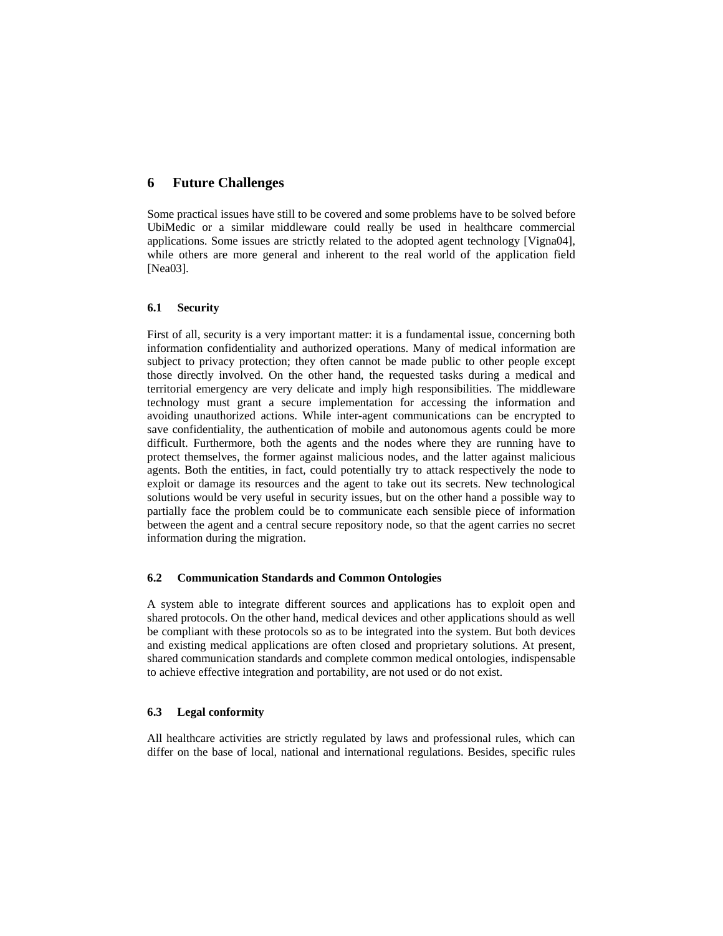# **6 Future Challenges**

Some practical issues have still to be covered and some problems have to be solved before UbiMedic or a similar middleware could really be used in healthcare commercial applications. Some issues are strictly related to the adopted agent technology [Vigna04], while others are more general and inherent to the real world of the application field [Nea03].

# **6.1 Security**

First of all, security is a very important matter: it is a fundamental issue, concerning both information confidentiality and authorized operations. Many of medical information are subject to privacy protection; they often cannot be made public to other people except those directly involved. On the other hand, the requested tasks during a medical and territorial emergency are very delicate and imply high responsibilities. The middleware technology must grant a secure implementation for accessing the information and avoiding unauthorized actions. While inter-agent communications can be encrypted to save confidentiality, the authentication of mobile and autonomous agents could be more difficult. Furthermore, both the agents and the nodes where they are running have to protect themselves, the former against malicious nodes, and the latter against malicious agents. Both the entities, in fact, could potentially try to attack respectively the node to exploit or damage its resources and the agent to take out its secrets. New technological solutions would be very useful in security issues, but on the other hand a possible way to partially face the problem could be to communicate each sensible piece of information between the agent and a central secure repository node, so that the agent carries no secret information during the migration.

### **6.2 Communication Standards and Common Ontologies**

A system able to integrate different sources and applications has to exploit open and shared protocols. On the other hand, medical devices and other applications should as well be compliant with these protocols so as to be integrated into the system. But both devices and existing medical applications are often closed and proprietary solutions. At present, shared communication standards and complete common medical ontologies, indispensable to achieve effective integration and portability, are not used or do not exist.

### **6.3 Legal conformity**

All healthcare activities are strictly regulated by laws and professional rules, which can differ on the base of local, national and international regulations. Besides, specific rules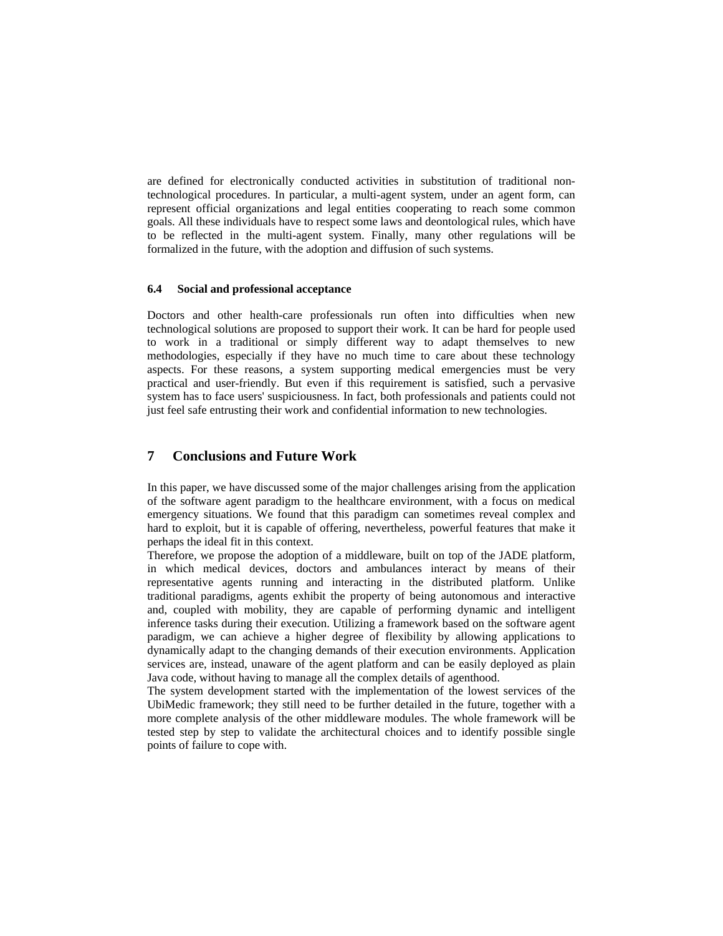are defined for electronically conducted activities in substitution of traditional nontechnological procedures. In particular, a multi-agent system, under an agent form, can represent official organizations and legal entities cooperating to reach some common goals. All these individuals have to respect some laws and deontological rules, which have to be reflected in the multi-agent system. Finally, many other regulations will be formalized in the future, with the adoption and diffusion of such systems.

#### **6.4 Social and professional acceptance**

Doctors and other health-care professionals run often into difficulties when new technological solutions are proposed to support their work. It can be hard for people used to work in a traditional or simply different way to adapt themselves to new methodologies, especially if they have no much time to care about these technology aspects. For these reasons, a system supporting medical emergencies must be very practical and user-friendly. But even if this requirement is satisfied, such a pervasive system has to face users' suspiciousness. In fact, both professionals and patients could not just feel safe entrusting their work and confidential information to new technologies.

# **7 Conclusions and Future Work**

In this paper, we have discussed some of the major challenges arising from the application of the software agent paradigm to the healthcare environment, with a focus on medical emergency situations. We found that this paradigm can sometimes reveal complex and hard to exploit, but it is capable of offering, nevertheless, powerful features that make it perhaps the ideal fit in this context.

Therefore, we propose the adoption of a middleware, built on top of the JADE platform, in which medical devices, doctors and ambulances interact by means of their representative agents running and interacting in the distributed platform. Unlike traditional paradigms, agents exhibit the property of being autonomous and interactive and, coupled with mobility, they are capable of performing dynamic and intelligent inference tasks during their execution. Utilizing a framework based on the software agent paradigm, we can achieve a higher degree of flexibility by allowing applications to dynamically adapt to the changing demands of their execution environments. Application services are, instead, unaware of the agent platform and can be easily deployed as plain Java code, without having to manage all the complex details of agenthood.

The system development started with the implementation of the lowest services of the UbiMedic framework; they still need to be further detailed in the future, together with a more complete analysis of the other middleware modules. The whole framework will be tested step by step to validate the architectural choices and to identify possible single points of failure to cope with.